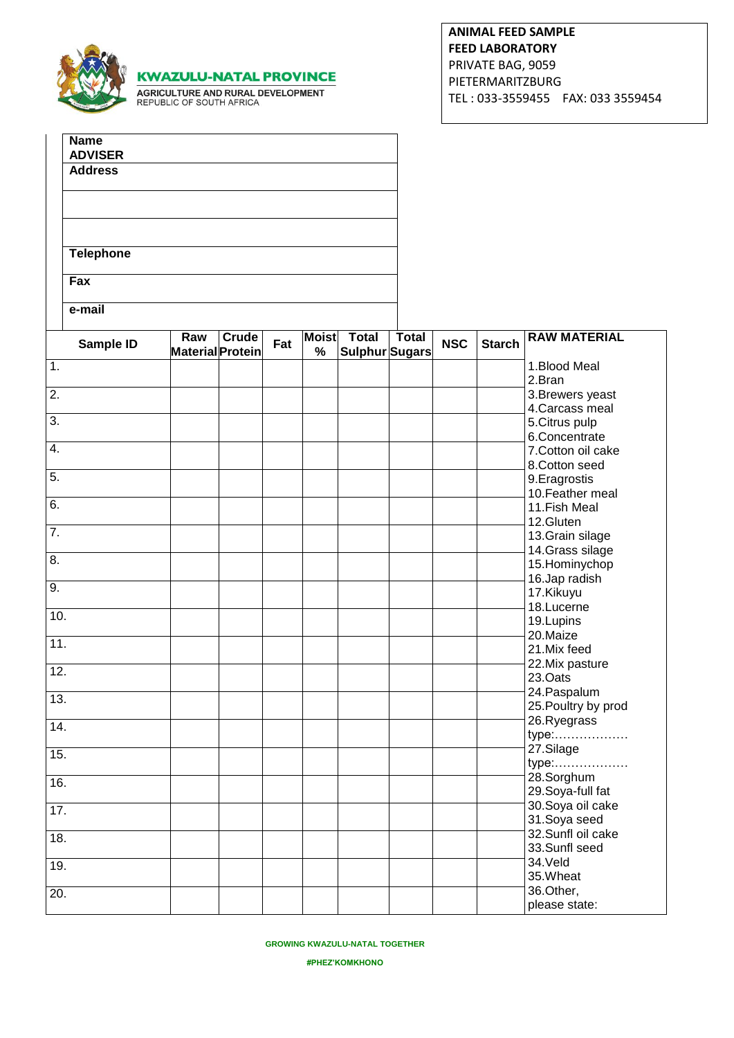|                   |                               | <b>KWAZULU-NATAL PROVINCE</b><br>AGRICULTURE AND RURAL DEVELOPMENT<br>REPUBLIC OF SOUTH AFRICA |              |     |   |                                      |              |            | <b>FEED LABORATORY</b><br>PRIVATE BAG, 9059<br>PIETERMARITZBURG | <b>ANIMAL FEED SAMPLE</b><br>TEL: 033-3559455    FAX: 033 3559454 |
|-------------------|-------------------------------|------------------------------------------------------------------------------------------------|--------------|-----|---|--------------------------------------|--------------|------------|-----------------------------------------------------------------|-------------------------------------------------------------------|
|                   | <b>Name</b><br><b>ADVISER</b> |                                                                                                |              |     |   |                                      |              |            |                                                                 |                                                                   |
|                   | <b>Address</b>                |                                                                                                |              |     |   |                                      |              |            |                                                                 |                                                                   |
|                   |                               |                                                                                                |              |     |   |                                      |              |            |                                                                 |                                                                   |
|                   | <b>Telephone</b>              |                                                                                                |              |     |   |                                      |              |            |                                                                 |                                                                   |
|                   | $\overline{F}ax$              |                                                                                                |              |     |   |                                      |              |            |                                                                 |                                                                   |
|                   | e-mail<br><b>Sample ID</b>    | Raw<br><b>Material Protein</b>                                                                 | <b>Crude</b> | Fat | % | <b>Moist</b> Total<br>Sulphur Sugars | <b>Total</b> | <b>NSC</b> | <b>Starch</b>                                                   | <b>RAW MATERIAL</b>                                               |
| $\overline{1}$ .  |                               |                                                                                                |              |     |   |                                      |              |            |                                                                 | 1.Blood Meal<br>2.Bran                                            |
| $\overline{2}$ .  |                               |                                                                                                |              |     |   |                                      |              |            |                                                                 | 3. Brewers yeast                                                  |
| $\overline{3}$ .  |                               |                                                                                                |              |     |   |                                      |              |            |                                                                 | 4. Carcass meal                                                   |
|                   |                               |                                                                                                |              |     |   |                                      |              |            |                                                                 | 5.Citrus pulp<br>6.Concentrate                                    |
| $\overline{4}$ .  |                               |                                                                                                |              |     |   |                                      |              |            |                                                                 | 7. Cotton oil cake                                                |
| $\overline{5}$ .  |                               |                                                                                                |              |     |   |                                      |              |            |                                                                 | 8.Cotton seed                                                     |
|                   |                               |                                                                                                |              |     |   |                                      |              |            |                                                                 | 9. Eragrostis<br>10. Feather meal                                 |
| 6.                |                               |                                                                                                |              |     |   |                                      |              |            |                                                                 | 11. Fish Meal                                                     |
|                   |                               |                                                                                                |              |     |   |                                      |              |            |                                                                 | 12.Gluten                                                         |
| $\overline{7}$ .  |                               |                                                                                                |              |     |   |                                      |              |            |                                                                 | 13.Grain silage                                                   |
| 8.                |                               |                                                                                                |              |     |   |                                      |              |            |                                                                 | 14. Grass silage<br>15. Hominychop                                |
|                   |                               |                                                                                                |              |     |   |                                      |              |            |                                                                 | 16.Jap radish                                                     |
| 9.                |                               |                                                                                                |              |     |   |                                      |              |            |                                                                 | 17.Kikuyu                                                         |
| 10.               |                               |                                                                                                |              |     |   |                                      |              |            |                                                                 | 18.Lucerne                                                        |
|                   |                               |                                                                                                |              |     |   |                                      |              |            |                                                                 | 19.Lupins<br>20.Maize                                             |
| 11.               |                               |                                                                                                |              |     |   |                                      |              |            |                                                                 | 21.Mix feed                                                       |
| 12.               |                               |                                                                                                |              |     |   |                                      |              |            |                                                                 | 22. Mix pasture                                                   |
|                   |                               |                                                                                                |              |     |   |                                      |              |            |                                                                 | 23.Oats                                                           |
| 13.               |                               |                                                                                                |              |     |   |                                      |              |            |                                                                 | 24. Paspalum                                                      |
|                   |                               |                                                                                                |              |     |   |                                      |              |            |                                                                 | 25. Poultry by prod<br>26.Ryegrass                                |
| 14.               |                               |                                                                                                |              |     |   |                                      |              |            |                                                                 | type:                                                             |
| 15.               |                               |                                                                                                |              |     |   |                                      |              |            |                                                                 | 27.Silage                                                         |
|                   |                               |                                                                                                |              |     |   |                                      |              |            |                                                                 | type:                                                             |
| 16.               |                               |                                                                                                |              |     |   |                                      |              |            |                                                                 | 28.Sorghum<br>29. Soya-full fat                                   |
| 17.               |                               |                                                                                                |              |     |   |                                      |              |            |                                                                 | 30. Soya oil cake                                                 |
|                   |                               |                                                                                                |              |     |   |                                      |              |            |                                                                 | 31.Soya seed                                                      |
| 18.               |                               |                                                                                                |              |     |   |                                      |              |            |                                                                 | 32.Sunfl oil cake                                                 |
|                   |                               |                                                                                                |              |     |   |                                      |              |            |                                                                 | 33.Sunfl seed<br>34.Veld                                          |
| 19.               |                               |                                                                                                |              |     |   |                                      |              |            |                                                                 | 35.Wheat                                                          |
| $\overline{20}$ . |                               |                                                                                                |              |     |   |                                      |              |            |                                                                 | 36.Other,                                                         |
|                   |                               |                                                                                                |              |     |   |                                      |              |            |                                                                 | please state:                                                     |

## **GROWING KWAZULU-NATAL TOGETHER**

**#PHEZ'KOMKHONO**